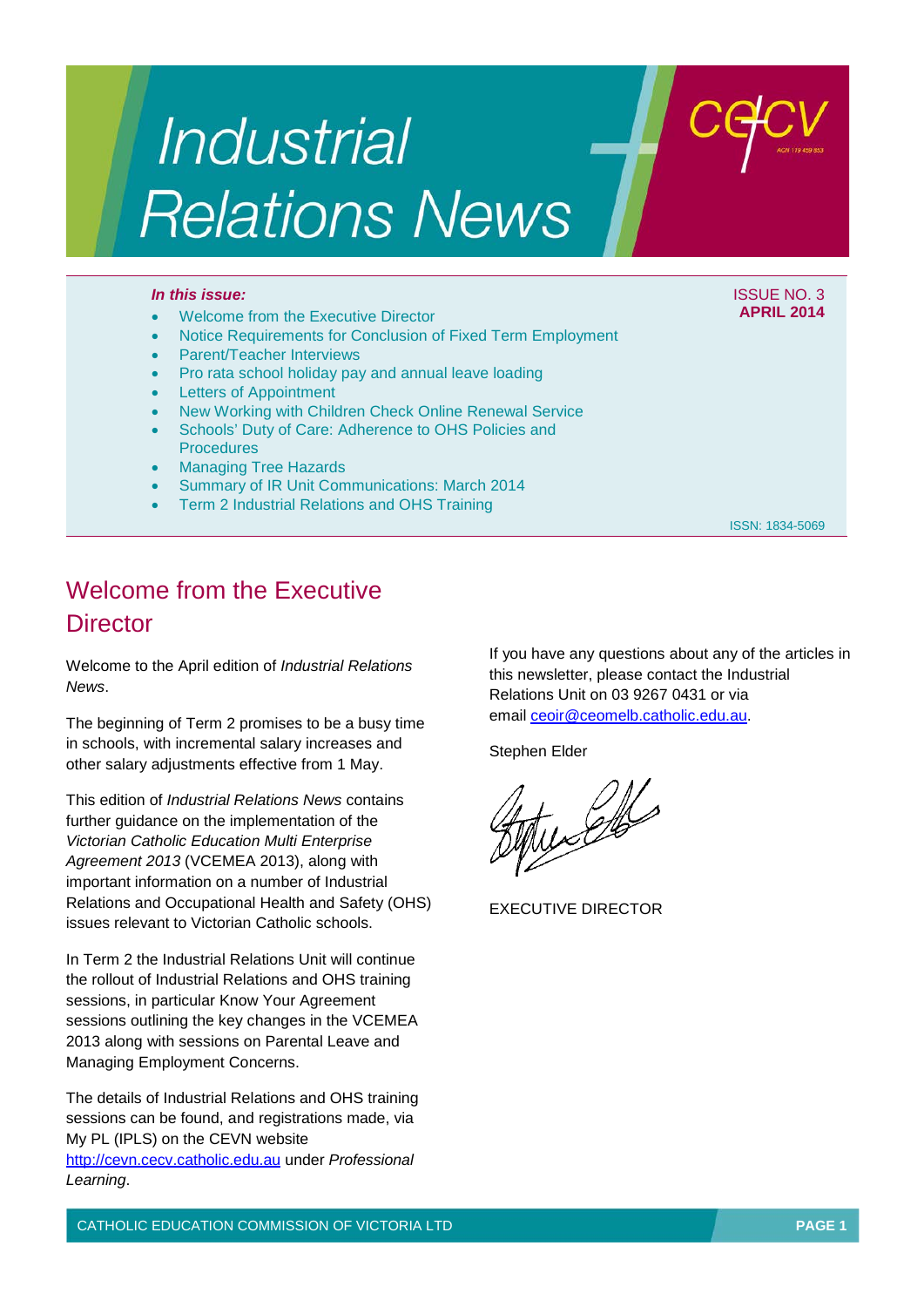# **Industrial Relations News**

#### *In this issue:* ISSUE NO. 3

- Welcome from the Executive Director
- Notice Requirements for Conclusion of Fixed Term Employment
- Parent/Teacher Interviews
- Pro rata school holiday pay and annual leave loading
- **Letters of Appointment**
- New Working with Children Check Online Renewal Service
- Schools' Duty of Care: Adherence to OHS Policies and **Procedures**
- Managing Tree Hazards
- Summary of IR Unit Communications: March 2014
- Term 2 Industrial Relations and OHS Training

ISSN: 1834-5069

**APRIL 2014**

## Welcome from the Executive **Director**

Welcome to the April edition of *Industrial Relations News*.

The beginning of Term 2 promises to be a busy time in schools, with incremental salary increases and other salary adjustments effective from 1 May.

This edition of *Industrial Relations News* contains further guidance on the implementation of the *Victorian Catholic Education Multi Enterprise Agreement 2013* (VCEMEA 2013), along with important information on a number of Industrial Relations and Occupational Health and Safety (OHS) issues relevant to Victorian Catholic schools.

In Term 2 the Industrial Relations Unit will continue the rollout of Industrial Relations and OHS training sessions, in particular Know Your Agreement sessions outlining the key changes in the VCEMEA 2013 along with sessions on Parental Leave and Managing Employment Concerns.

The details of Industrial Relations and OHS training sessions can be found, and registrations made, via My PL (IPLS) on the CEVN website http://c[evn.cecv.catholic.edu.au](http://cevn.cecv.catholic.edu.au/) under *Professional* 

*Learning*.

If you have any questions about any of the articles in this newsletter, please contact the Industrial Relations Unit on 03 9267 0431 or via email [ceoir@ceomelb.catholic.edu.au.](mailto:ceoir@ceomelb.catholic.edu.au)

Stephen Elder

 $\mathscr{L}$ 

EXECUTIVE DIRECTOR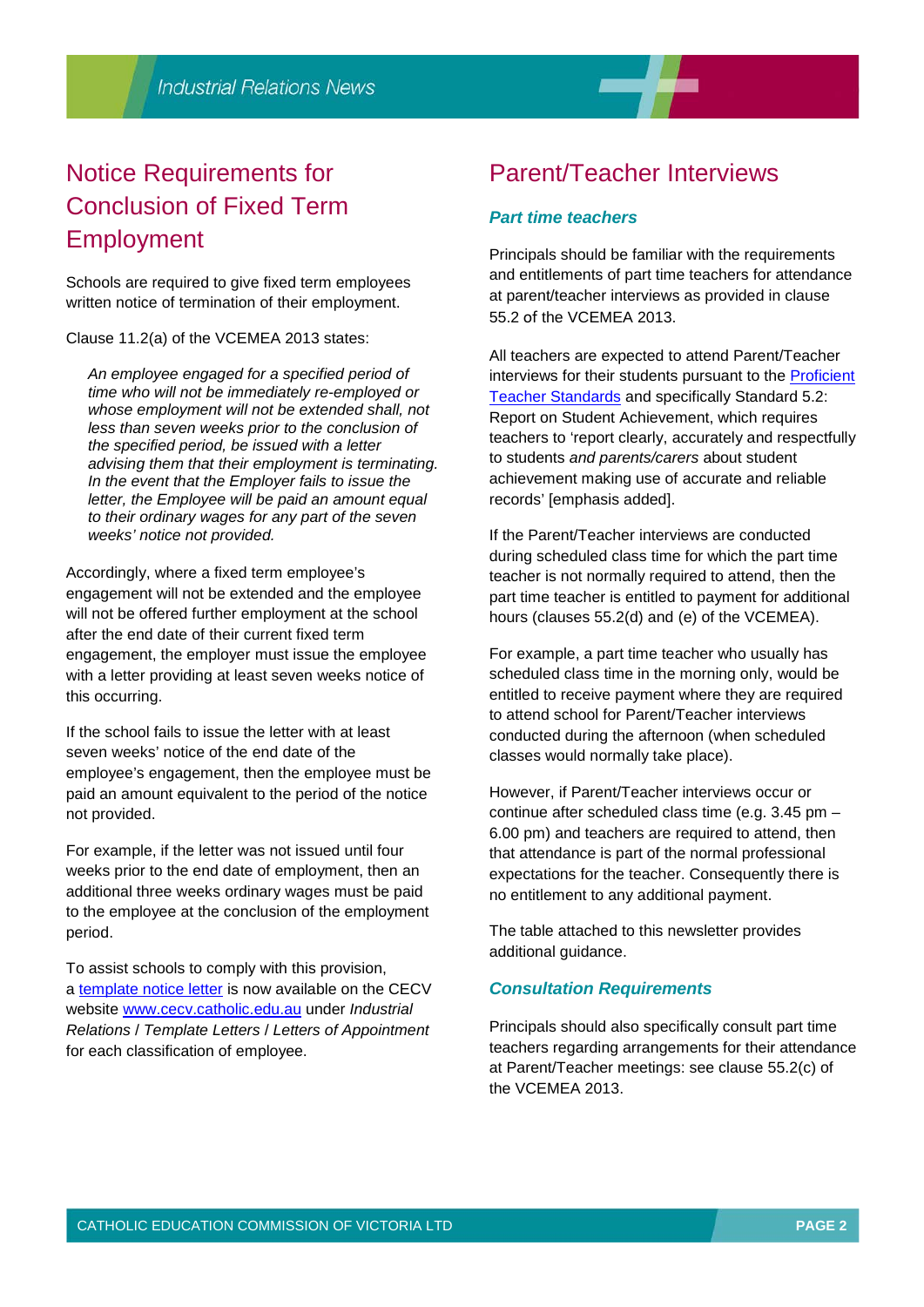

# Notice Requirements for Conclusion of Fixed Term Employment

Schools are required to give fixed term employees written notice of termination of their employment.

Clause 11.2(a) of the VCEMEA 2013 states:

*An employee engaged for a specified period of time who will not be immediately re-employed or whose employment will not be extended shall, not less than seven weeks prior to the conclusion of the specified period, be issued with a letter advising them that their employment is terminating. In the event that the Employer fails to issue the letter, the Employee will be paid an amount equal to their ordinary wages for any part of the seven weeks' notice not provided.*

Accordingly, where a fixed term employee's engagement will not be extended and the employee will not be offered further employment at the school after the end date of their current fixed term engagement, the employer must issue the employee with a letter providing at least seven weeks notice of this occurring.

If the school fails to issue the letter with at least seven weeks' notice of the end date of the employee's engagement, then the employee must be paid an amount equivalent to the period of the notice not provided.

For example, if the letter was not issued until four weeks prior to the end date of employment, then an additional three weeks ordinary wages must be paid to the employee at the conclusion of the employment period.

To assist schools to comply with this provision, a [template notice letter](http://web.cecv.catholic.edu.au/vcsa/lettersofappointment/instructions.html) is now available on the CECV website [www.cecv.catholic.edu.au](http://www.cecv.catholic.edu.au/) under *Industrial Relations* / *Template Letters* / *Letters of Appointment* for each classification of employee.

## Parent/Teacher Interviews

#### *Part time teachers*

Principals should be familiar with the requirements and entitlements of part time teachers for attendance at parent/teacher interviews as provided in clause 55.2 of the VCEMEA 2013.

All teachers are expected to attend Parent/Teacher interviews for their students pursuant to the [Proficient](http://www.vit.vic.edu.au/SiteCollectionDocuments/PDF/Australian_Standards_poster_A3_colour.pdf)  [Teacher Standards](http://www.vit.vic.edu.au/SiteCollectionDocuments/PDF/Australian_Standards_poster_A3_colour.pdf) and specifically Standard 5.2: Report on Student Achievement, which requires teachers to 'report clearly, accurately and respectfully to students *and parents/carers* about student achievement making use of accurate and reliable records' [emphasis added].

If the Parent/Teacher interviews are conducted during scheduled class time for which the part time teacher is not normally required to attend, then the part time teacher is entitled to payment for additional hours (clauses 55.2(d) and (e) of the VCEMEA).

For example, a part time teacher who usually has scheduled class time in the morning only, would be entitled to receive payment where they are required to attend school for Parent/Teacher interviews conducted during the afternoon (when scheduled classes would normally take place).

However, if Parent/Teacher interviews occur or continue after scheduled class time (e.g. 3.45 pm – 6.00 pm) and teachers are required to attend, then that attendance is part of the normal professional expectations for the teacher. Consequently there is no entitlement to any additional payment.

The table attached to this newsletter provides additional guidance.

#### *Consultation Requirements*

Principals should also specifically consult part time teachers regarding arrangements for their attendance at Parent/Teacher meetings: see clause 55.2(c) of the VCEMEA 2013.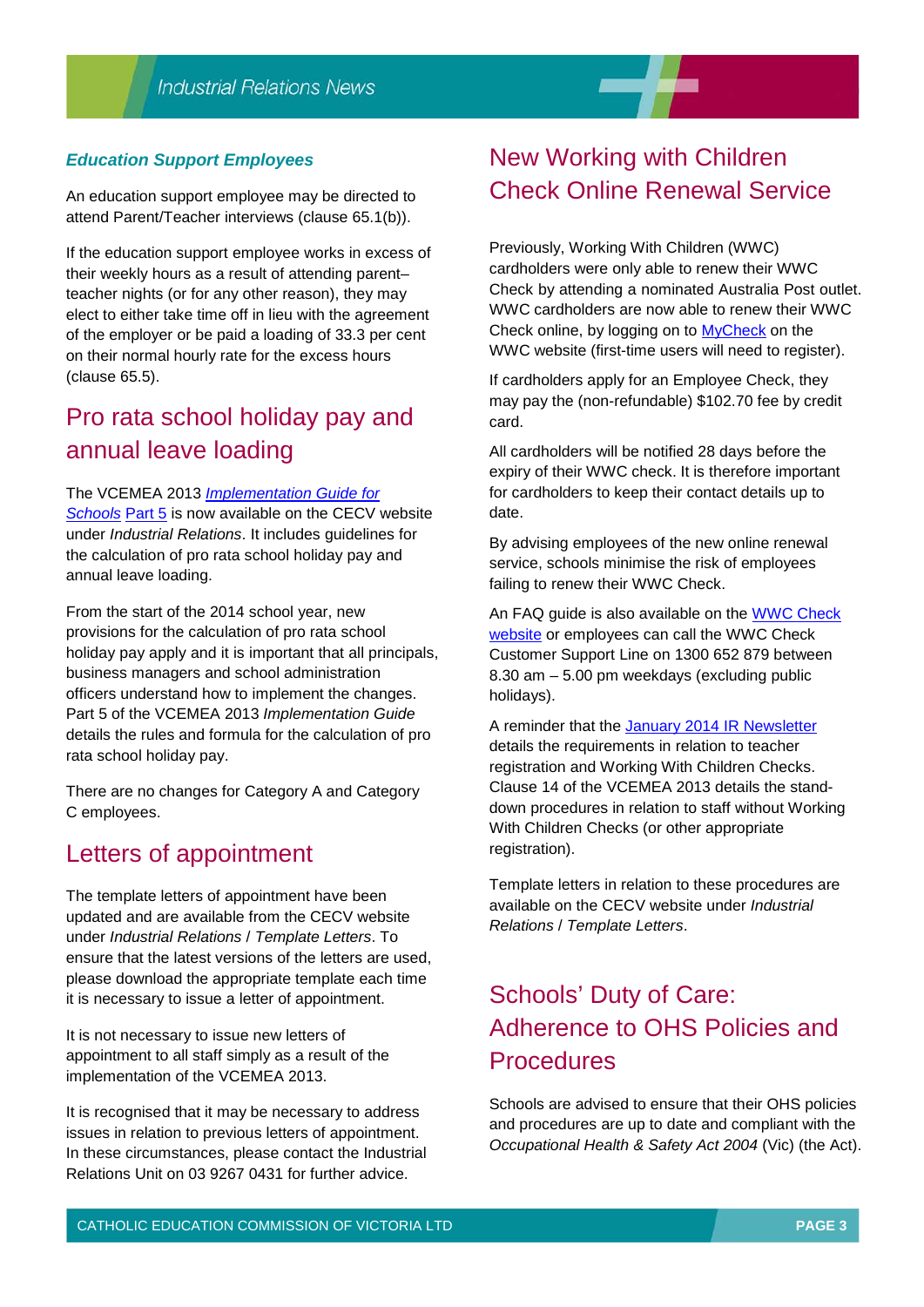#### *Education Support Employees*

An education support employee may be directed to attend Parent/Teacher interviews (clause 65.1(b)).

If the education support employee works in excess of their weekly hours as a result of attending parent– teacher nights (or for any other reason), they may elect to either take time off in lieu with the agreement of the employer or be paid a loading of 33.3 per cent on their normal hourly rate for the excess hours (clause 65.5).

## Pro rata school holiday pay and annual leave loading

#### The VCEMEA 2013 *[Implementation Guide for](http://web.cecv.catholic.edu.au/vcsa/Implementation_Guidelines/implementation_guides.htm)*

*[Schools](http://web.cecv.catholic.edu.au/vcsa/Implementation_Guidelines/implementation_guides.htm)* [Part 5](http://web.cecv.catholic.edu.au/vcsa/Implementation_Guidelines/Part_5.pdf) is now available on the CECV website under *Industrial Relations*. It includes guidelines for the calculation of pro rata school holiday pay and annual leave loading.

From the start of the 2014 school year, new provisions for the calculation of pro rata school holiday pay apply and it is important that all principals, business managers and school administration officers understand how to implement the changes. Part 5 of the VCEMEA 2013 *Implementation Guide* details the rules and formula for the calculation of pro rata school holiday pay.

There are no changes for Category A and Category C employees.

## Letters of appointment

The template letters of appointment have been updated and are available from the CECV website under *Industrial Relations* / *Template Letters*. To ensure that the latest versions of the letters are used, please download the appropriate template each time it is necessary to issue a letter of appointment.

It is not necessary to issue new letters of appointment to all staff simply as a result of the implementation of the VCEMEA 2013.

It is recognised that it may be necessary to address issues in relation to previous letters of appointment. In these circumstances, please contact the Industrial Relations Unit on 03 9267 0431 for further advice.

## New Working with Children Check Online Renewal Service

Previously, Working With Children (WWC) cardholders were only able to renew their WWC Check by attending a nominated Australia Post outlet. WWC cardholders are now able to renew their WWC Check online, by logging on to [MyCheck](https://online.justice.vic.gov.au/wwccu/login.doj?next=mycheck) on the WWC website (first-time users will need to register).

If cardholders apply for an Employee Check, they may pay the (non-refundable) \$102.70 fee by credit card.

All cardholders will be notified 28 days before the expiry of their WWC check. It is therefore important for cardholders to keep their contact details up to date.

By advising employees of the new online renewal service, schools minimise the risk of employees failing to renew their WWC Check.

An FAQ guide is also available on the [WWC Check](http://www.workingwithchildren.vic.gov.au/utility/home/)  [website](http://www.workingwithchildren.vic.gov.au/utility/home/) or employees can call the WWC Check Customer Support Line on 1300 652 879 between 8.30 am – 5.00 pm weekdays (excluding public holidays).

A reminder that the [January 2014 IR Newsletter](http://web.cecv.catholic.edu.au/vcsa/newsletters/IR%20News,%20No.%201,%20Jan%202014.pdf) details the requirements in relation to teacher registration and Working With Children Checks. Clause 14 of the VCEMEA 2013 details the standdown procedures in relation to staff without Working With Children Checks (or other appropriate registration).

Template letters in relation to these procedures are available on the CECV website under *Industrial Relations* / *Template Letters*.

# Schools' Duty of Care: Adherence to OHS Policies and **Procedures**

Schools are advised to ensure that their OHS policies and procedures are up to date and compliant with the *Occupational Health & Safety Act 2004* (Vic) (the Act).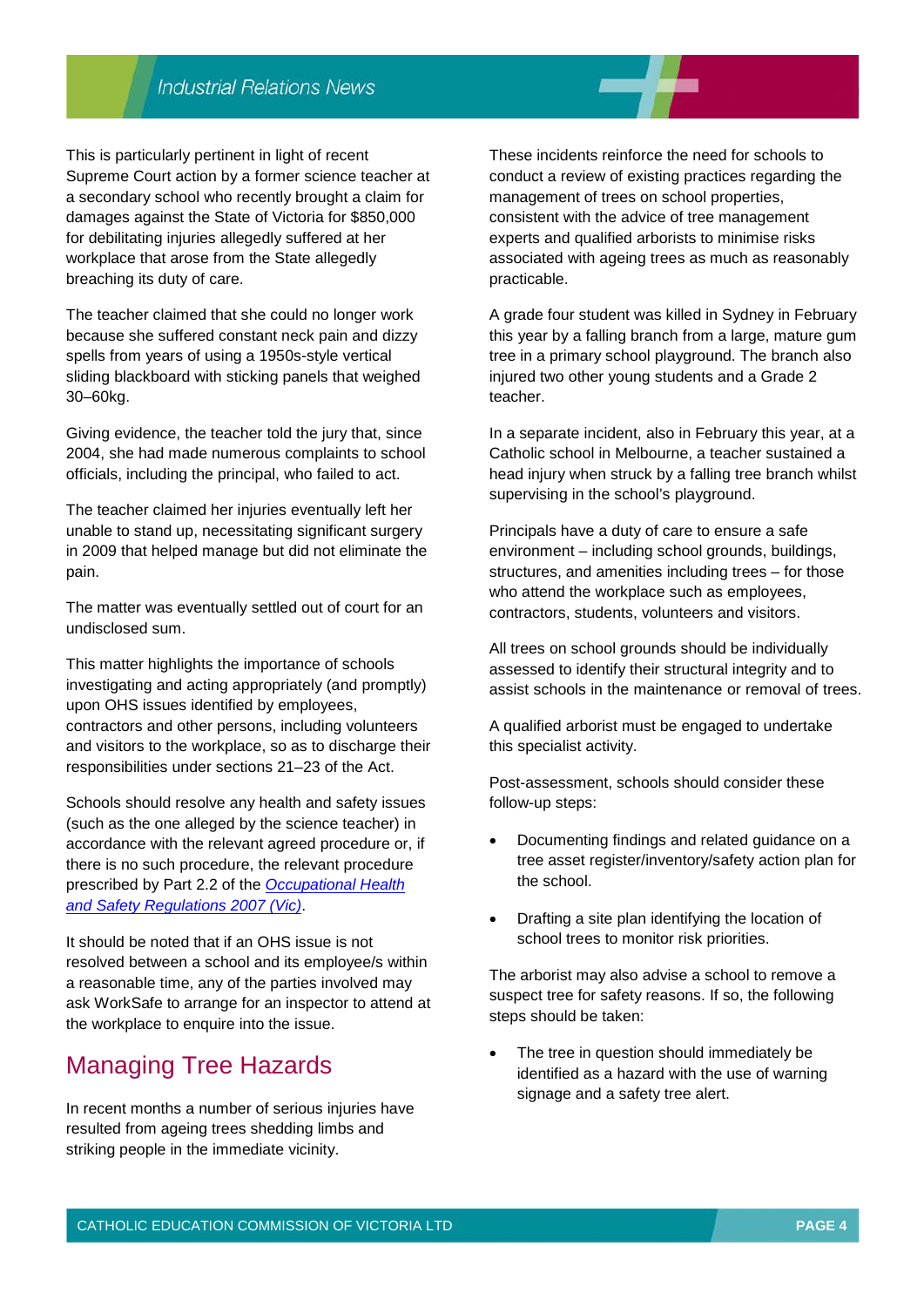## **Industrial Relations News**

This is particularly pertinent in light of recent Supreme Court action by a former science teacher at a secondary school who recently brought a claim for damages against the State of Victoria for \$850,000 for debilitating injuries allegedly suffered at her workplace that arose from the State allegedly breaching its duty of care.

The teacher claimed that she could no longer work because she suffered constant neck pain and dizzy spells from years of using a 1950s-style vertical sliding blackboard with sticking panels that weighed 30–60kg.

Giving evidence, the teacher told the jury that, since 2004, she had made numerous complaints to school officials, including the principal, who failed to act.

The teacher claimed her injuries eventually left her unable to stand up, necessitating significant surgery in 2009 that helped manage but did not eliminate the pain.

The matter was eventually settled out of court for an undisclosed sum.

This matter highlights the importance of schools investigating and acting appropriately (and promptly) upon OHS issues identified by employees, contractors and other persons, including volunteers and visitors to the workplace, so as to discharge their responsibilities under sections 21–23 of the Act.

Schools should resolve any health and safety issues (such as the one alleged by the science teacher) in accordance with the relevant agreed procedure or, if there is no such procedure, the relevant procedure prescribed by Part 2.2 of the *[Occupational Health](http://www.legislation.vic.gov.au/domino/Web_Notes/LDMS/LTObject_Store/LTObjSt7.nsf/DDE300B846EED9C7CA257616000A3571/F461BE31666C91B0CA257B420003033D/$FILE/07-54sr010bookmarked.pdf)  [and Safety Regulations 2007 \(Vic\)](http://www.legislation.vic.gov.au/domino/Web_Notes/LDMS/LTObject_Store/LTObjSt7.nsf/DDE300B846EED9C7CA257616000A3571/F461BE31666C91B0CA257B420003033D/$FILE/07-54sr010bookmarked.pdf)*.

It should be noted that if an OHS issue is not resolved between a school and its employee/s within a reasonable time, any of the parties involved may ask WorkSafe to arrange for an inspector to attend at the workplace to enquire into the issue.

## Managing Tree Hazards

In recent months a number of serious injuries have resulted from ageing trees shedding limbs and striking people in the immediate vicinity.

These incidents reinforce the need for schools to conduct a review of existing practices regarding the management of trees on school properties, consistent with the advice of tree management experts and qualified arborists to minimise risks associated with ageing trees as much as reasonably practicable.

A grade four student was killed in Sydney in February this year by a falling branch from a large, mature gum tree in a primary school playground. The branch also injured two other young students and a Grade 2 teacher.

In a separate incident, also in February this year, at a Catholic school in Melbourne, a teacher sustained a head injury when struck by a falling tree branch whilst supervising in the school's playground.

Principals have a duty of care to ensure a safe environment – including school grounds, buildings, structures, and amenities including trees – for those who attend the workplace such as employees, contractors, students, volunteers and visitors.

All trees on school grounds should be individually assessed to identify their structural integrity and to assist schools in the maintenance or removal of trees.

A qualified arborist must be engaged to undertake this specialist activity.

Post-assessment, schools should consider these follow-up steps:

- Documenting findings and related guidance on a tree asset register/inventory/safety action plan for the school.
- Drafting a site plan identifying the location of school trees to monitor risk priorities.

The arborist may also advise a school to remove a suspect tree for safety reasons. If so, the following steps should be taken:

The tree in question should immediately be identified as a hazard with the use of warning signage and a safety tree alert.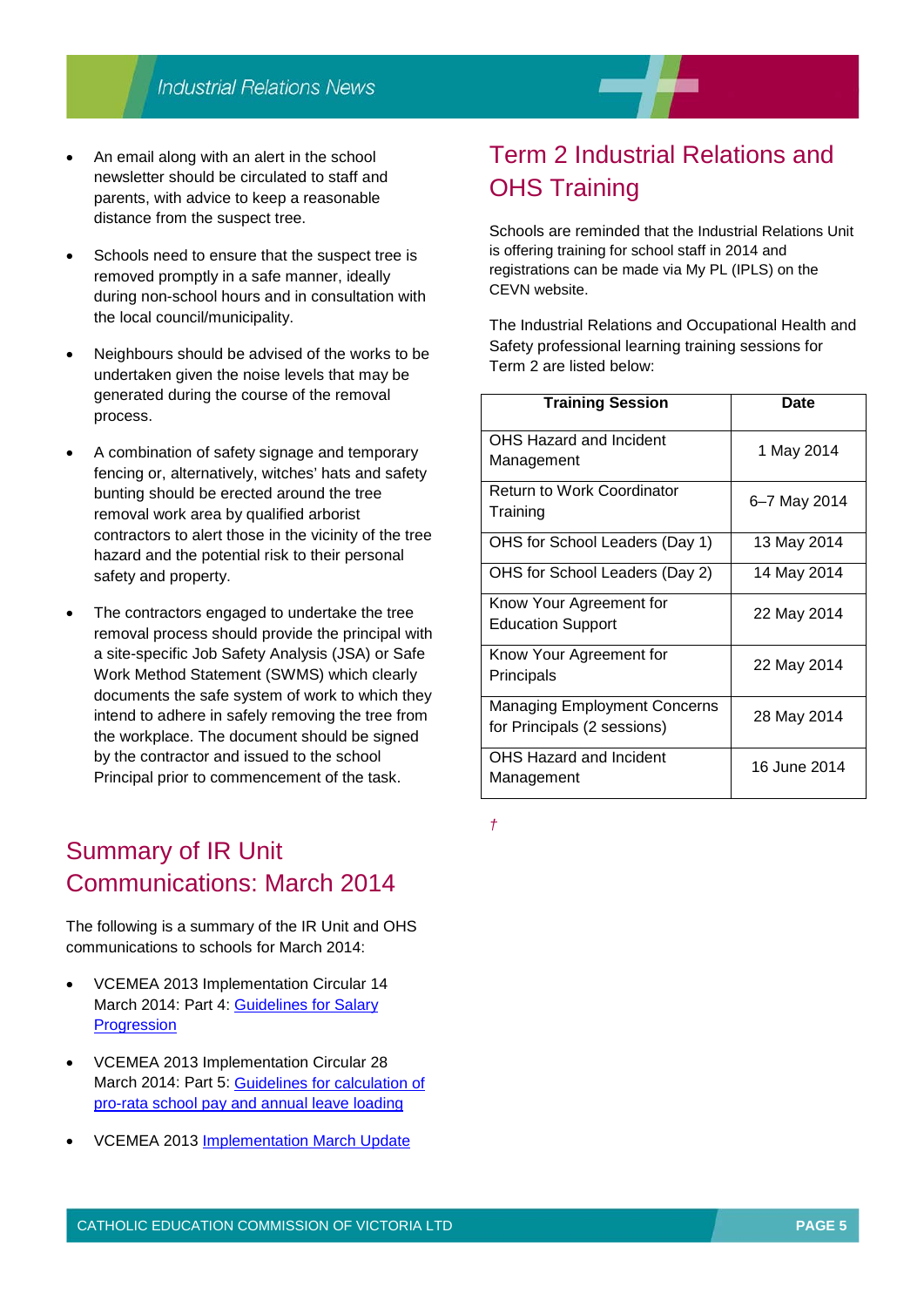- An email along with an alert in the school newsletter should be circulated to staff and parents, with advice to keep a reasonable distance from the suspect tree.
- Schools need to ensure that the suspect tree is removed promptly in a safe manner, ideally during non-school hours and in consultation with the local council/municipality.
- Neighbours should be advised of the works to be undertaken given the noise levels that may be generated during the course of the removal process.
- A combination of safety signage and temporary fencing or, alternatively, witches' hats and safety bunting should be erected around the tree removal work area by qualified arborist contractors to alert those in the vicinity of the tree hazard and the potential risk to their personal safety and property.
- The contractors engaged to undertake the tree removal process should provide the principal with a site-specific Job Safety Analysis (JSA) or Safe Work Method Statement (SWMS) which clearly documents the safe system of work to which they intend to adhere in safely removing the tree from the workplace. The document should be signed by the contractor and issued to the school Principal prior to commencement of the task.

## Summary of IR Unit Communications: March 2014

The following is a summary of the IR Unit and OHS communications to schools for March 2014:

- VCEMEA 2013 Implementation Circular 14 March 2014: Part 4: [Guidelines for Salary](http://web.cecv.catholic.edu.au/vcsa/Implementation_Guidelines/Part_4.pdf) **[Progression](http://web.cecv.catholic.edu.au/vcsa/Implementation_Guidelines/Part_4.pdf)**
- VCEMEA 2013 Implementation Circular 28 March 2014: Part 5: [Guidelines for calculation of](http://web.cecv.catholic.edu.au/vcsa/Implementation_Guidelines/Part_5.pdf) [pro-rata school pay and annual leave loading](http://web.cecv.catholic.edu.au/vcsa/Implementation_Guidelines/Part_5.pdf)
- VCEMEA 2013 [Implementation March Update](http://web.cecv.catholic.edu.au/frameset.htm?page=industrial)

# Term 2 Industrial Relations and OHS Training

Schools are reminded that the Industrial Relations Unit is offering training for school staff in 2014 and registrations can be made via My PL (IPLS) on the CEVN website.

The Industrial Relations and Occupational Health and Safety professional learning training sessions for Term 2 are listed below:

| <b>Training Session</b>                                            | Date         |
|--------------------------------------------------------------------|--------------|
| OHS Hazard and Incident<br>Management                              | 1 May 2014   |
| <b>Return to Work Coordinator</b><br>Training                      | 6-7 May 2014 |
| OHS for School Leaders (Day 1)                                     | 13 May 2014  |
| OHS for School Leaders (Day 2)                                     | 14 May 2014  |
| Know Your Agreement for<br><b>Education Support</b>                | 22 May 2014  |
| Know Your Agreement for<br>Principals                              | 22 May 2014  |
| <b>Managing Employment Concerns</b><br>for Principals (2 sessions) | 28 May 2014  |
| <b>OHS Hazard and Incident</b><br>Management                       | 16 June 2014 |

*†*